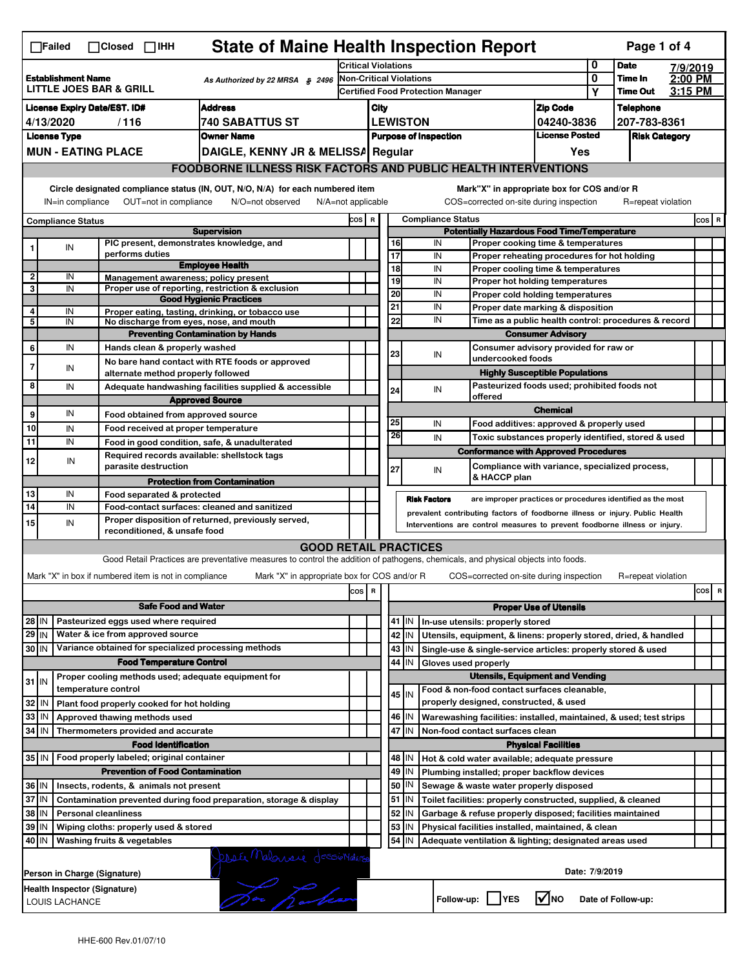| <b>State of Maine Health Inspection Report</b><br>Page 1 of 4<br>∏Failed<br>$\Box$ Closed $\Box$ IHH                                                                                                                                                                                  |                                                                                                             |                                                                                                                                                       |                                                       |                                                                                                                                   |                                                                     |                                                       |                                                                                         |                                                                            |                                                                                       |                                                                                           |                                       |                            |                                  |  |         |  |
|---------------------------------------------------------------------------------------------------------------------------------------------------------------------------------------------------------------------------------------------------------------------------------------|-------------------------------------------------------------------------------------------------------------|-------------------------------------------------------------------------------------------------------------------------------------------------------|-------------------------------------------------------|-----------------------------------------------------------------------------------------------------------------------------------|---------------------------------------------------------------------|-------------------------------------------------------|-----------------------------------------------------------------------------------------|----------------------------------------------------------------------------|---------------------------------------------------------------------------------------|-------------------------------------------------------------------------------------------|---------------------------------------|----------------------------|----------------------------------|--|---------|--|
|                                                                                                                                                                                                                                                                                       |                                                                                                             |                                                                                                                                                       |                                                       |                                                                                                                                   | <b>Critical Violations</b>                                          |                                                       |                                                                                         |                                                                            |                                                                                       |                                                                                           | 0                                     | <b>Date</b>                | 7/9/2019                         |  |         |  |
| <b>Establishment Name</b><br>As Authorized by 22 MRSA $$2496$<br><b>LITTLE JOES BAR &amp; GRILL</b>                                                                                                                                                                                   |                                                                                                             |                                                                                                                                                       |                                                       |                                                                                                                                   | Non-Critical Violations<br><b>Certified Food Protection Manager</b> |                                                       |                                                                                         |                                                                            |                                                                                       |                                                                                           | 0<br>Υ                                | Time In<br><b>Time Out</b> | $2:00$ PM<br>3:15 PM             |  |         |  |
| <b>Address</b><br><b>License Expiry Date/EST. ID#</b>                                                                                                                                                                                                                                 |                                                                                                             |                                                                                                                                                       |                                                       |                                                                                                                                   |                                                                     |                                                       |                                                                                         |                                                                            |                                                                                       |                                                                                           |                                       |                            |                                  |  |         |  |
| <b>740 SABATTUS ST</b><br>4/13/2020<br>/116                                                                                                                                                                                                                                           |                                                                                                             |                                                                                                                                                       |                                                       |                                                                                                                                   |                                                                     | City<br><b>LEWISTON</b>                               |                                                                                         |                                                                            |                                                                                       | <b>Zip Code</b><br>04240-3836                                                             |                                       |                            | <b>Telephone</b><br>207-783-8361 |  |         |  |
| <b>License Type</b><br><b>Owner Name</b>                                                                                                                                                                                                                                              |                                                                                                             |                                                                                                                                                       |                                                       |                                                                                                                                   |                                                                     | <b>License Posted</b><br><b>Purpose of Inspection</b> |                                                                                         |                                                                            |                                                                                       | <b>Risk Category</b>                                                                      |                                       |                            |                                  |  |         |  |
| <b>MUN - EATING PLACE</b><br>DAIGLE, KENNY JR & MELISSA Regular                                                                                                                                                                                                                       |                                                                                                             |                                                                                                                                                       |                                                       |                                                                                                                                   |                                                                     | Yes                                                   |                                                                                         |                                                                            |                                                                                       |                                                                                           |                                       |                            |                                  |  |         |  |
|                                                                                                                                                                                                                                                                                       | <b>FOODBORNE ILLNESS RISK FACTORS AND PUBLIC HEALTH INTERVENTIONS</b>                                       |                                                                                                                                                       |                                                       |                                                                                                                                   |                                                                     |                                                       |                                                                                         |                                                                            |                                                                                       |                                                                                           |                                       |                            |                                  |  |         |  |
| Circle designated compliance status (IN, OUT, N/O, N/A) for each numbered item<br>Mark"X" in appropriate box for COS and/or R<br>OUT=not in compliance<br>COS=corrected on-site during inspection<br>IN=in compliance<br>N/O=not observed<br>N/A=not applicable<br>R=repeat violation |                                                                                                             |                                                                                                                                                       |                                                       |                                                                                                                                   |                                                                     |                                                       |                                                                                         |                                                                            |                                                                                       |                                                                                           |                                       |                            |                                  |  |         |  |
| <b>Compliance Status</b>                                                                                                                                                                                                                                                              |                                                                                                             |                                                                                                                                                       |                                                       |                                                                                                                                   |                                                                     |                                                       | <b>Compliance Status</b><br>COS R<br><b>Potentially Hazardous Food Time/Temperature</b> |                                                                            |                                                                                       |                                                                                           |                                       |                            |                                  |  | $cos$ R |  |
|                                                                                                                                                                                                                                                                                       |                                                                                                             |                                                                                                                                                       |                                                       | <b>Supervision</b><br>PIC present, demonstrates knowledge, and                                                                    |                                                                     |                                                       | 16                                                                                      |                                                                            | IN                                                                                    | Proper cooking time & temperatures                                                        |                                       |                            |                                  |  |         |  |
| 1                                                                                                                                                                                                                                                                                     | IN                                                                                                          |                                                                                                                                                       | performs duties                                       |                                                                                                                                   |                                                                     |                                                       | 17                                                                                      |                                                                            | IN                                                                                    | Proper reheating procedures for hot holding                                               |                                       |                            |                                  |  |         |  |
|                                                                                                                                                                                                                                                                                       |                                                                                                             |                                                                                                                                                       |                                                       | <b>Employee Health</b>                                                                                                            |                                                                     |                                                       | $\overline{18}$                                                                         |                                                                            | IN                                                                                    | Proper cooling time & temperatures                                                        |                                       |                            |                                  |  |         |  |
| $\overline{2}$<br>3                                                                                                                                                                                                                                                                   | IN<br>IN                                                                                                    |                                                                                                                                                       |                                                       | Management awareness; policy present<br>Proper use of reporting, restriction & exclusion                                          |                                                                     |                                                       | 19                                                                                      |                                                                            | IN                                                                                    | Proper hot holding temperatures                                                           |                                       |                            |                                  |  |         |  |
|                                                                                                                                                                                                                                                                                       |                                                                                                             |                                                                                                                                                       |                                                       | <b>Good Hygienic Practices</b>                                                                                                    |                                                                     |                                                       | 20                                                                                      |                                                                            | IN                                                                                    | Proper cold holding temperatures                                                          |                                       |                            |                                  |  |         |  |
| 4<br>5                                                                                                                                                                                                                                                                                | IN<br>IN                                                                                                    |                                                                                                                                                       |                                                       | Proper eating, tasting, drinking, or tobacco use                                                                                  |                                                                     |                                                       | 21<br>22                                                                                |                                                                            | IN<br>IN                                                                              | Proper date marking & disposition<br>Time as a public health control: procedures & record |                                       |                            |                                  |  |         |  |
|                                                                                                                                                                                                                                                                                       |                                                                                                             |                                                                                                                                                       |                                                       | No discharge from eyes, nose, and mouth<br><b>Preventing Contamination by Hands</b>                                               |                                                                     |                                                       |                                                                                         |                                                                            |                                                                                       |                                                                                           | <b>Consumer Advisory</b>              |                            |                                  |  |         |  |
| 6                                                                                                                                                                                                                                                                                     | IN                                                                                                          |                                                                                                                                                       | Hands clean & properly washed                         |                                                                                                                                   |                                                                     |                                                       |                                                                                         |                                                                            |                                                                                       | Consumer advisory provided for raw or                                                     |                                       |                            |                                  |  |         |  |
| $\overline{7}$                                                                                                                                                                                                                                                                        |                                                                                                             |                                                                                                                                                       |                                                       | No bare hand contact with RTE foods or approved                                                                                   |                                                                     |                                                       | 23                                                                                      |                                                                            | IN                                                                                    | undercooked foods                                                                         |                                       |                            |                                  |  |         |  |
|                                                                                                                                                                                                                                                                                       | IN                                                                                                          |                                                                                                                                                       | alternate method properly followed                    |                                                                                                                                   |                                                                     |                                                       |                                                                                         |                                                                            |                                                                                       |                                                                                           | <b>Highly Susceptible Populations</b> |                            |                                  |  |         |  |
| 8                                                                                                                                                                                                                                                                                     | IN                                                                                                          |                                                                                                                                                       |                                                       | Adequate handwashing facilities supplied & accessible                                                                             |                                                                     |                                                       | 24                                                                                      |                                                                            | IN                                                                                    | Pasteurized foods used; prohibited foods not                                              |                                       |                            |                                  |  |         |  |
|                                                                                                                                                                                                                                                                                       |                                                                                                             |                                                                                                                                                       |                                                       | <b>Approved Source</b>                                                                                                            |                                                                     |                                                       |                                                                                         |                                                                            |                                                                                       | offered                                                                                   | <b>Chemical</b>                       |                            |                                  |  |         |  |
| 9                                                                                                                                                                                                                                                                                     | IN                                                                                                          |                                                                                                                                                       | Food obtained from approved source                    |                                                                                                                                   |                                                                     |                                                       | 25                                                                                      |                                                                            | IN                                                                                    | Food additives: approved & properly used                                                  |                                       |                            |                                  |  |         |  |
| 10                                                                                                                                                                                                                                                                                    | IN                                                                                                          |                                                                                                                                                       | Food received at proper temperature                   |                                                                                                                                   |                                                                     |                                                       | 26                                                                                      |                                                                            | IN                                                                                    | Toxic substances properly identified, stored & used                                       |                                       |                            |                                  |  |         |  |
| 11                                                                                                                                                                                                                                                                                    | IN                                                                                                          |                                                                                                                                                       |                                                       | Food in good condition, safe, & unadulterated<br>Required records available: shellstock tags                                      |                                                                     |                                                       |                                                                                         |                                                                            |                                                                                       | <b>Conformance with Approved Procedures</b>                                               |                                       |                            |                                  |  |         |  |
| 12                                                                                                                                                                                                                                                                                    | IN                                                                                                          |                                                                                                                                                       | parasite destruction                                  |                                                                                                                                   |                                                                     |                                                       | 27                                                                                      |                                                                            | IN                                                                                    | Compliance with variance, specialized process,                                            |                                       |                            |                                  |  |         |  |
|                                                                                                                                                                                                                                                                                       |                                                                                                             |                                                                                                                                                       |                                                       | <b>Protection from Contamination</b>                                                                                              |                                                                     |                                                       |                                                                                         |                                                                            |                                                                                       | & HACCP plan                                                                              |                                       |                            |                                  |  |         |  |
| 13                                                                                                                                                                                                                                                                                    | IN                                                                                                          |                                                                                                                                                       | Food separated & protected                            |                                                                                                                                   |                                                                     |                                                       |                                                                                         |                                                                            | <b>Risk Factors</b>                                                                   | are improper practices or procedures identified as the most                               |                                       |                            |                                  |  |         |  |
| 14                                                                                                                                                                                                                                                                                    | IN                                                                                                          |                                                                                                                                                       |                                                       | Food-contact surfaces: cleaned and sanitized<br>Proper disposition of returned, previously served,                                |                                                                     |                                                       |                                                                                         |                                                                            | prevalent contributing factors of foodborne illness or injury. Public Health          |                                                                                           |                                       |                            |                                  |  |         |  |
| 15                                                                                                                                                                                                                                                                                    | IN                                                                                                          |                                                                                                                                                       | reconditioned, & unsafe food                          |                                                                                                                                   |                                                                     |                                                       |                                                                                         | Interventions are control measures to prevent foodborne illness or injury. |                                                                                       |                                                                                           |                                       |                            |                                  |  |         |  |
|                                                                                                                                                                                                                                                                                       |                                                                                                             |                                                                                                                                                       |                                                       | <b>GOOD RETAIL PRACTICES</b>                                                                                                      |                                                                     |                                                       |                                                                                         |                                                                            |                                                                                       |                                                                                           |                                       |                            |                                  |  |         |  |
|                                                                                                                                                                                                                                                                                       |                                                                                                             |                                                                                                                                                       |                                                       | Good Retail Practices are preventative measures to control the addition of pathogens, chemicals, and physical objects into foods. |                                                                     |                                                       |                                                                                         |                                                                            |                                                                                       |                                                                                           |                                       |                            |                                  |  |         |  |
|                                                                                                                                                                                                                                                                                       |                                                                                                             |                                                                                                                                                       | Mark "X" in box if numbered item is not in compliance | Mark "X" in appropriate box for COS and/or R                                                                                      |                                                                     |                                                       |                                                                                         |                                                                            |                                                                                       | COS=corrected on-site during inspection                                                   |                                       |                            | R=repeat violation               |  |         |  |
| $\,$ R<br>cos<br>cos                                                                                                                                                                                                                                                                  |                                                                                                             |                                                                                                                                                       |                                                       |                                                                                                                                   |                                                                     |                                                       |                                                                                         |                                                                            | R                                                                                     |                                                                                           |                                       |                            |                                  |  |         |  |
|                                                                                                                                                                                                                                                                                       | <b>Safe Food and Water</b>                                                                                  |                                                                                                                                                       |                                                       |                                                                                                                                   |                                                                     |                                                       |                                                                                         | <b>Proper Use of Utensils</b>                                              |                                                                                       |                                                                                           |                                       |                            |                                  |  |         |  |
| Pasteurized eggs used where required<br>28 IN                                                                                                                                                                                                                                         |                                                                                                             |                                                                                                                                                       |                                                       |                                                                                                                                   |                                                                     |                                                       |                                                                                         | 41 J IN                                                                    |                                                                                       | In-use utensils: properly stored                                                          |                                       |                            |                                  |  |         |  |
| $29$ IN                                                                                                                                                                                                                                                                               |                                                                                                             |                                                                                                                                                       | Water & ice from approved source                      |                                                                                                                                   |                                                                     |                                                       |                                                                                         | 42<br>IN                                                                   |                                                                                       | Utensils, equipment, & linens: properly stored, dried, & handled                          |                                       |                            |                                  |  |         |  |
| 30 IN                                                                                                                                                                                                                                                                                 |                                                                                                             |                                                                                                                                                       |                                                       | Variance obtained for specialized processing methods                                                                              |                                                                     |                                                       |                                                                                         | 43   IN                                                                    |                                                                                       | Single-use & single-service articles: properly stored & used                              |                                       |                            |                                  |  |         |  |
|                                                                                                                                                                                                                                                                                       |                                                                                                             |                                                                                                                                                       | <b>Food Temperature Control</b>                       |                                                                                                                                   |                                                                     |                                                       |                                                                                         | 44 IN                                                                      | Gloves used properly                                                                  |                                                                                           |                                       |                            |                                  |  |         |  |
| $31$ IN                                                                                                                                                                                                                                                                               |                                                                                                             | temperature control                                                                                                                                   |                                                       | Proper cooling methods used; adequate equipment for                                                                               |                                                                     |                                                       |                                                                                         |                                                                            | <b>Utensils, Equipment and Vending</b><br>Food & non-food contact surfaces cleanable, |                                                                                           |                                       |                            |                                  |  |         |  |
| 32                                                                                                                                                                                                                                                                                    | l IN                                                                                                        |                                                                                                                                                       | Plant food properly cooked for hot holding            |                                                                                                                                   |                                                                     |                                                       |                                                                                         | $45$ IN                                                                    |                                                                                       | properly designed, constructed, & used                                                    |                                       |                            |                                  |  |         |  |
| 33                                                                                                                                                                                                                                                                                    | IN                                                                                                          |                                                                                                                                                       | Approved thawing methods used                         |                                                                                                                                   |                                                                     |                                                       |                                                                                         | 46 IN                                                                      |                                                                                       | Warewashing facilities: installed, maintained, & used; test strips                        |                                       |                            |                                  |  |         |  |
| 34                                                                                                                                                                                                                                                                                    | IN                                                                                                          |                                                                                                                                                       | Thermometers provided and accurate                    |                                                                                                                                   |                                                                     |                                                       | 47                                                                                      | IN                                                                         |                                                                                       | Non-food contact surfaces clean                                                           |                                       |                            |                                  |  |         |  |
|                                                                                                                                                                                                                                                                                       |                                                                                                             |                                                                                                                                                       | <b>Food Identification</b>                            |                                                                                                                                   |                                                                     |                                                       |                                                                                         |                                                                            |                                                                                       |                                                                                           | <b>Physical Facilities</b>            |                            |                                  |  |         |  |
|                                                                                                                                                                                                                                                                                       |                                                                                                             |                                                                                                                                                       | 35 IN   Food properly labeled; original container     |                                                                                                                                   |                                                                     |                                                       |                                                                                         | 48   IN                                                                    |                                                                                       | Hot & cold water available; adequate pressure                                             |                                       |                            |                                  |  |         |  |
| <b>Prevention of Food Contamination</b>                                                                                                                                                                                                                                               |                                                                                                             |                                                                                                                                                       |                                                       |                                                                                                                                   |                                                                     |                                                       |                                                                                         | 49 IN                                                                      |                                                                                       | Plumbing installed; proper backflow devices                                               |                                       |                            |                                  |  |         |  |
| 36   IN<br>Insects, rodents, & animals not present                                                                                                                                                                                                                                    |                                                                                                             |                                                                                                                                                       |                                                       |                                                                                                                                   |                                                                     |                                                       | 50                                                                                      | IN                                                                         |                                                                                       | Sewage & waste water properly disposed                                                    |                                       |                            |                                  |  |         |  |
| 37 IN                                                                                                                                                                                                                                                                                 |                                                                                                             | $51$ $\vert$ IN<br>Contamination prevented during food preparation, storage & display<br>Toilet facilities: properly constructed, supplied, & cleaned |                                                       |                                                                                                                                   |                                                                     |                                                       |                                                                                         |                                                                            |                                                                                       |                                                                                           |                                       |                            |                                  |  |         |  |
| 38 IN<br>$52$ M<br><b>Personal cleanliness</b><br>Garbage & refuse properly disposed; facilities maintained<br>53                                                                                                                                                                     |                                                                                                             |                                                                                                                                                       |                                                       |                                                                                                                                   |                                                                     |                                                       |                                                                                         |                                                                            |                                                                                       |                                                                                           |                                       |                            |                                  |  |         |  |
| 39 IN<br>Wiping cloths: properly used & stored                                                                                                                                                                                                                                        |                                                                                                             |                                                                                                                                                       |                                                       |                                                                                                                                   |                                                                     |                                                       |                                                                                         | IN                                                                         |                                                                                       | Physical facilities installed, maintained, & clean                                        |                                       |                            |                                  |  |         |  |
| 54<br>40 IN<br>Washing fruits & vegetables<br>IN<br>Adequate ventilation & lighting; designated areas used                                                                                                                                                                            |                                                                                                             |                                                                                                                                                       |                                                       |                                                                                                                                   |                                                                     |                                                       |                                                                                         |                                                                            |                                                                                       |                                                                                           |                                       |                            |                                  |  |         |  |
| peser Malonarie dessionations<br>Date: 7/9/2019<br>Person in Charge (Signature)                                                                                                                                                                                                       |                                                                                                             |                                                                                                                                                       |                                                       |                                                                                                                                   |                                                                     |                                                       |                                                                                         |                                                                            |                                                                                       |                                                                                           |                                       |                            |                                  |  |         |  |
|                                                                                                                                                                                                                                                                                       | Health Inspector (Signature)<br>$\sqrt{ }$ NO<br>Follow-up:     YES<br>Date of Follow-up:<br>LOUIS LACHANCE |                                                                                                                                                       |                                                       |                                                                                                                                   |                                                                     |                                                       |                                                                                         |                                                                            |                                                                                       |                                                                                           |                                       |                            |                                  |  |         |  |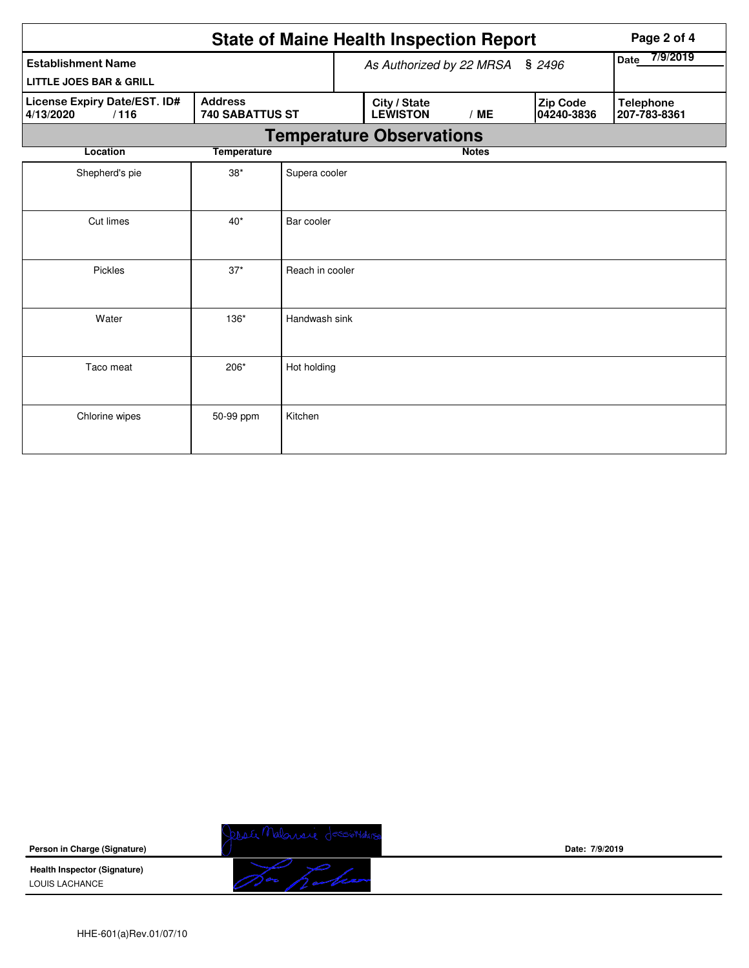|                                                                                        | Page 2 of 4 |                 |                          |                                 |                  |  |                        |                                  |  |  |
|----------------------------------------------------------------------------------------|-------------|-----------------|--------------------------|---------------------------------|------------------|--|------------------------|----------------------------------|--|--|
| <b>Establishment Name</b><br><b>LITTLE JOES BAR &amp; GRILL</b>                        |             |                 | As Authorized by 22 MRSA | \$2496                          | 7/9/2019<br>Date |  |                        |                                  |  |  |
| License Expiry Date/EST. ID#<br><b>Address</b><br>/116<br>740 SABATTUS ST<br>4/13/2020 |             |                 |                          | City / State<br><b>LEWISTON</b> | /ME              |  | Zip Code<br>04240-3836 | <b>Telephone</b><br>207-783-8361 |  |  |
| <b>Temperature Observations</b>                                                        |             |                 |                          |                                 |                  |  |                        |                                  |  |  |
| <b>Temperature</b><br>Location                                                         |             |                 |                          |                                 | <b>Notes</b>     |  |                        |                                  |  |  |
| Shepherd's pie                                                                         | $38*$       | Supera cooler   |                          |                                 |                  |  |                        |                                  |  |  |
| Cut limes                                                                              | $40*$       | Bar cooler      |                          |                                 |                  |  |                        |                                  |  |  |
| Pickles                                                                                | $37*$       | Reach in cooler |                          |                                 |                  |  |                        |                                  |  |  |
| Water                                                                                  | $136*$      | Handwash sink   |                          |                                 |                  |  |                        |                                  |  |  |
| Taco meat                                                                              | 206*        | Hot holding     |                          |                                 |                  |  |                        |                                  |  |  |
| Chlorine wipes                                                                         | 50-99 ppm   | Kitchen         |                          |                                 |                  |  |                        |                                  |  |  |

**Person in Charge (Signature)**

**Health Inspector (Signature)**  LOUIS LACHANCE



**Date: 7/9/2019**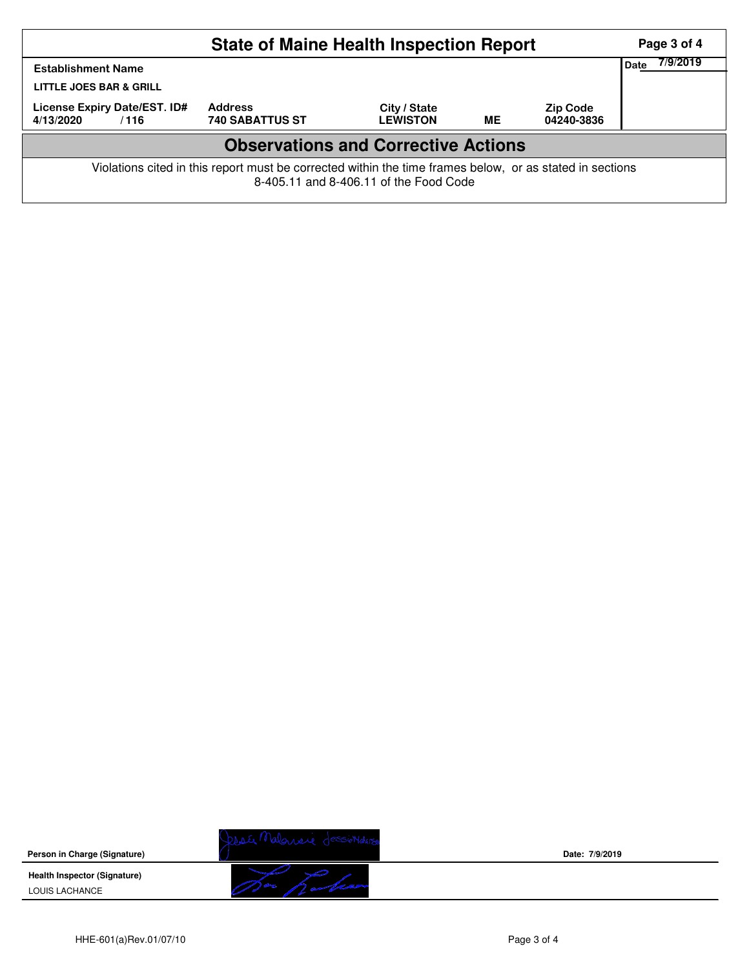| <b>State of Maine Health Inspection Report</b>                                                                                                     |                                          |                                 |    |                               |  |  |  |  |  |
|----------------------------------------------------------------------------------------------------------------------------------------------------|------------------------------------------|---------------------------------|----|-------------------------------|--|--|--|--|--|
| <b>Establishment Name</b><br><b>LITTLE JOES BAR &amp; GRILL</b>                                                                                    | Date                                     |                                 |    |                               |  |  |  |  |  |
| License Expiry Date/EST. ID#<br>4/13/2020<br>/116                                                                                                  | <b>Address</b><br><b>740 SABATTUS ST</b> | City / State<br><b>LEWISTON</b> | МE | <b>Zip Code</b><br>04240-3836 |  |  |  |  |  |
| <b>Observations and Corrective Actions</b>                                                                                                         |                                          |                                 |    |                               |  |  |  |  |  |
| Violations cited in this report must be corrected within the time frames below, or as stated in sections<br>8-405.11 and 8-406.11 of the Food Code |                                          |                                 |    |                               |  |  |  |  |  |

**Person in Charge (Signature)**

**Health Inspector (Signature)**  LOUIS LACHANCE



**Date: 7/9/2019**